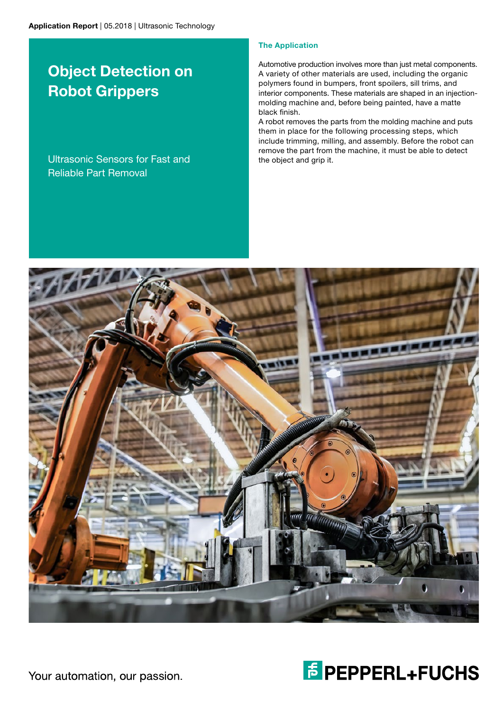# Object Detection on Robot Grippers

Ultrasonic Sensors for Fast and Reliable Part Removal

## The Application

Automotive production involves more than just metal components. A variety of other materials are used, including the organic polymers found in bumpers, front spoilers, sill trims, and interior components. These materials are shaped in an injectionmolding machine and, before being painted, have a matte black finish.

A robot removes the parts from the molding machine and puts them in place for the following processing steps, which include trimming, milling, and assembly. Before the robot can remove the part from the machine, it must be able to detect the object and grip it.





Your automation, our passion.